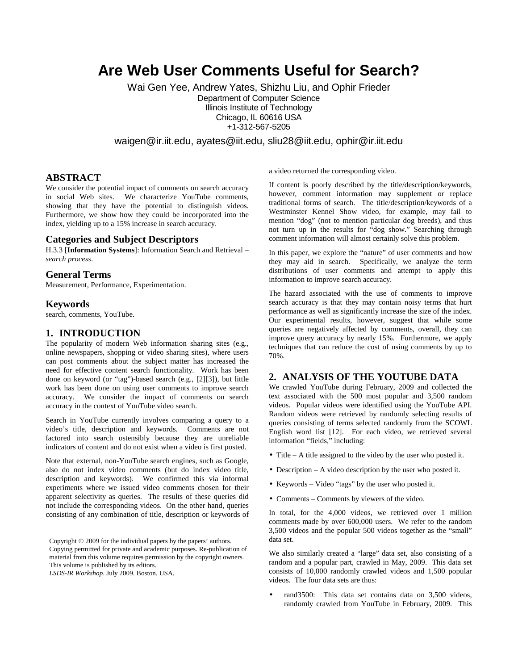# **Are Web User Comments Useful for Search?**

Wai Gen Yee, Andrew Yates, Shizhu Liu, and Ophir Frieder Department of Computer Science Illinois Institute of Technology Chicago, IL 60616 USA

+1-312-567-5205

waigen@ir.iit.edu, ayates@iit.edu, sliu28@iit.edu, ophir@ir.iit.edu

#### **ABSTRACT**

We consider the potential impact of comments on search accuracy in social Web sites. We characterize YouTube comments, showing that they have the potential to distinguish videos. Furthermore, we show how they could be incorporated into the index, yielding up to a 15% increase in search accuracy.

#### **Categories and Subject Descriptors**

H.3.3 [**Information Systems**]: Information Search and Retrieval – *search process*.

#### **General Terms**

Measurement, Performance, Experimentation.

#### **Keywords**

search, comments, YouTube.

#### **1. INTRODUCTION**

The popularity of modern Web information sharing sites (e.g., online newspapers, shopping or video sharing sites), where users can post comments about the subject matter has increased the need for effective content search functionality. Work has been done on keyword (or "tag")-based search (e.g., [2][3]), but little work has been done on using user comments to improve search accuracy. We consider the impact of comments on search accuracy in the context of YouTube video search.

Search in YouTube currently involves comparing a query to a video's title, description and keywords. Comments are not factored into search ostensibly because they are unreliable indicators of content and do not exist when a video is first posted.

Note that external, non-YouTube search engines, such as Google, also do not index video comments (but do index video title, description and keywords). We confirmed this via informal experiments where we issued video comments chosen for their apparent selectivity as queries. The results of these queries did not include the corresponding videos. On the other hand, queries consisting of any combination of title, description or keywords of

Copyright © 2009 for the individual papers by the papers' authors. Copying permitted for private and academic purposes. Re-publication of material from this volume requires permission by the copyright owners. This volume is published by its editors.

*LSDS-IR Workshop*. July 2009. Boston, USA.

a video returned the corresponding video.

If content is poorly described by the title/description/keywords, however, comment information may supplement or replace traditional forms of search. The title/description/keywords of a Westminster Kennel Show video, for example, may fail to mention "dog" (not to mention particular dog breeds), and thus not turn up in the results for "dog show." Searching through comment information will almost certainly solve this problem.

In this paper, we explore the "nature" of user comments and how they may aid in search. Specifically, we analyze the term distributions of user comments and attempt to apply this information to improve search accuracy.

The hazard associated with the use of comments to improve search accuracy is that they may contain noisy terms that hurt performance as well as significantly increase the size of the index. Our experimental results, however, suggest that while some queries are negatively affected by comments, overall, they can improve query accuracy by nearly 15%. Furthermore, we apply techniques that can reduce the cost of using comments by up to 70%.

# **2. ANALYSIS OF THE YOUTUBE DATA**

We crawled YouTube during February, 2009 and collected the text associated with the 500 most popular and 3,500 random videos. Popular videos were identified using the YouTube API. Random videos were retrieved by randomly selecting results of queries consisting of terms selected randomly from the SCOWL English word list [12]. For each video, we retrieved several information "fields," including:

- Title A title assigned to the video by the user who posted it.
- Description A video description by the user who posted it.
- Keywords Video "tags" by the user who posted it.
- Comments Comments by viewers of the video.

In total, for the 4,000 videos, we retrieved over 1 million comments made by over 600,000 users. We refer to the random 3,500 videos and the popular 500 videos together as the "small" data set.

We also similarly created a "large" data set, also consisting of a random and a popular part, crawled in May, 2009. This data set consists of 10,000 randomly crawled videos and 1,500 popular videos. The four data sets are thus:

rand3500: This data set contains data on 3,500 videos, randomly crawled from YouTube in February, 2009. This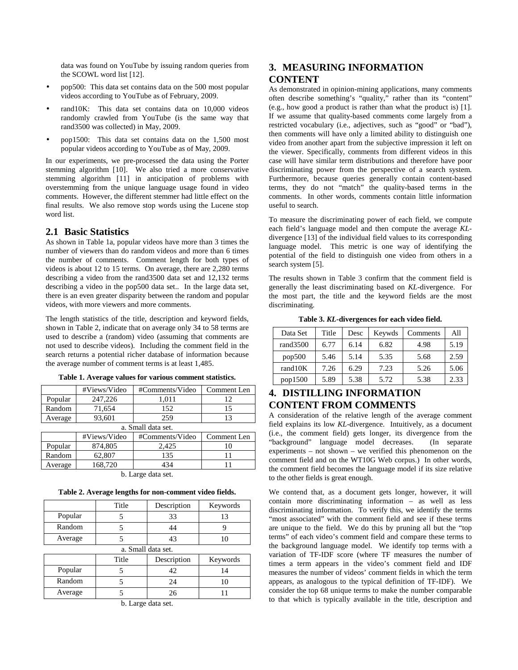data was found on YouTube by issuing random queries from the SCOWL word list [12].

- pop500: This data set contains data on the 500 most popular videos according to YouTube as of February, 2009.
- rand10K: This data set contains data on 10,000 videos randomly crawled from YouTube (is the same way that rand3500 was collected) in May, 2009.
- pop1500: This data set contains data on the 1,500 most popular videos according to YouTube as of May, 2009.

In our experiments, we pre-processed the data using the Porter stemming algorithm [10]. We also tried a more conservative stemming algorithm [11] in anticipation of problems with overstemming from the unique language usage found in video comments. However, the different stemmer had little effect on the final results. We also remove stop words using the Lucene stop word list.

#### **2.1 Basic Statistics**

As shown in Table 1a, popular videos have more than 3 times the number of viewers than do random videos and more than 6 times the number of comments. Comment length for both types of videos is about 12 to 15 terms. On average, there are 2,280 terms describing a video from the rand3500 data set and 12,132 terms describing a video in the pop500 data set.. In the large data set, there is an even greater disparity between the random and popular videos, with more viewers and more comments.

The length statistics of the title, description and keyword fields, shown in Table 2, indicate that on average only 34 to 58 terms are used to describe a (random) video (assuming that comments are not used to describe videos). Including the comment field in the search returns a potential richer database of information because the average number of comment terms is at least 1,485.

|         | #Views/Video       | #Comments/Video | Comment Len |  |  |  |
|---------|--------------------|-----------------|-------------|--|--|--|
| Popular | 247,226            | 1,011           | 12          |  |  |  |
| Random  | 71,654             | 152             | 15          |  |  |  |
| Average | 93,601             | 259             | 13          |  |  |  |
|         | a. Small data set. |                 |             |  |  |  |
|         | #Views/Video       | #Comments/Video | Comment Len |  |  |  |
| Popular | 874,805            | 2,425           |             |  |  |  |
| Random  | 62,807             | 135             |             |  |  |  |
| Average | 168,720            | 434             |             |  |  |  |

**Table 1. Average values for various comment statistics.** 

b. Large data set.

**Table 2. Average lengths for non-comment video fields.** 

|         | Title              | Description | Keywords |  |  |
|---------|--------------------|-------------|----------|--|--|
| Popular |                    | 33          | 13       |  |  |
| Random  |                    | 44          |          |  |  |
| Average |                    | 43          | 10       |  |  |
|         | a. Small data set. |             |          |  |  |
|         | Title              | Description | Keywords |  |  |
| Popular |                    | 42          | 14       |  |  |
| Random  | 5                  | 24          | 10       |  |  |
| Average |                    | 26          |          |  |  |

b. Large data set.

# **3. MEASURING INFORMATION CONTENT**

As demonstrated in opinion-mining applications, many comments often describe something's "quality," rather than its "content" (e.g., how good a product is rather than what the product is) [1]. If we assume that quality-based comments come largely from a restricted vocabulary (i.e., adjectives, such as "good" or "bad"), then comments will have only a limited ability to distinguish one video from another apart from the subjective impression it left on the viewer. Specifically, comments from different videos in this case will have similar term distributions and therefore have poor discriminating power from the perspective of a search system. Furthermore, because queries generally contain content-based terms, they do not "match" the quality-based terms in the comments. In other words, comments contain little information useful to search.

To measure the discriminating power of each field, we compute each field's language model and then compute the average *KL*divergence [13] of the individual field values to its corresponding language model. This metric is one way of identifying the potential of the field to distinguish one video from others in a search system [5].

The results shown in Table 3 confirm that the comment field is generally the least discriminating based on *KL*-divergence. For the most part, the title and the keyword fields are the most discriminating.

**Table 3.** *KL***-divergences for each video field.** 

| Data Set    | Title | Desc | Keywds | Comments | All  |
|-------------|-------|------|--------|----------|------|
| rand $3500$ | 6.77  | 6.14 | 6.82   | 4.98     | 5.19 |
| pop500      | 5.46  | 5.14 | 5.35   | 5.68     | 2.59 |
| rand10K     | 7.26  | 6.29 | 7.23   | 5.26     | 5.06 |
| pop1500     | 5.89  | 5.38 | 5.72   | 5.38     | 2.33 |

# **4. DISTILLING INFORMATION CONTENT FROM COMMENTS**

A consideration of the relative length of the average comment field explains its low *KL*-divergence. Intuitively, as a document (i.e., the comment field) gets longer, its divergence from the "background" language model decreases. (In separate experiments – not shown – we verified this phenomenon on the comment field and on the WT10G Web corpus.) In other words, the comment field becomes the language model if its size relative to the other fields is great enough.

We contend that, as a document gets longer, however, it will contain more discriminating information – as well as less discriminating information. To verify this, we identify the terms "most associated" with the comment field and see if these terms are unique to the field. We do this by pruning all but the "top terms" of each video's comment field and compare these terms to the background language model. We identify top terms with a variation of TF-IDF score (where TF measures the number of times a term appears in the video's comment field and IDF measures the number of videos' comment fields in which the term appears, as analogous to the typical definition of TF-IDF). We consider the top 68 unique terms to make the number comparable to that which is typically available in the title, description and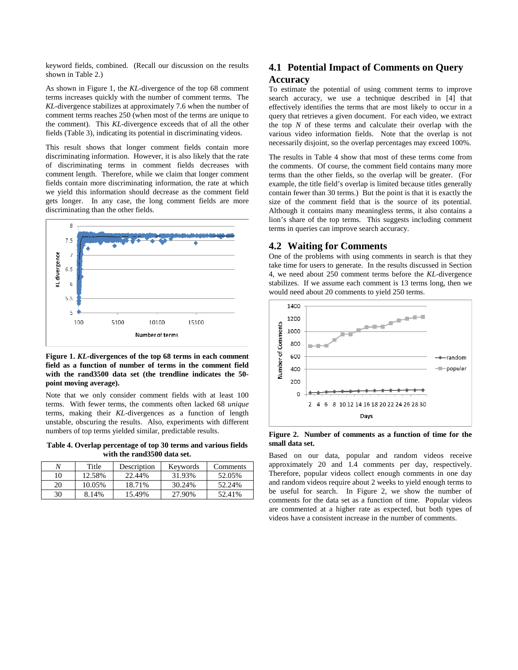keyword fields, combined. (Recall our discussion on the results shown in Table 2.)

As shown in Figure 1, the *KL*-divergence of the top 68 comment terms increases quickly with the number of comment terms. The *KL*-divergence stabilizes at approximately 7.6 when the number of comment terms reaches 250 (when most of the terms are unique to the comment). This *KL*-divergence exceeds that of all the other fields (Table 3), indicating its potential in discriminating videos.

This result shows that longer comment fields contain more discriminating information. However, it is also likely that the rate of discriminating terms in comment fields decreases with comment length. Therefore, while we claim that longer comment fields contain more discriminating information, the rate at which we yield this information should decrease as the comment field gets longer. In any case, the long comment fields are more discriminating than the other fields.



**Figure 1.** *KL***-divergences of the top 68 terms in each comment field as a function of number of terms in the comment field with the rand3500 data set (the trendline indicates the 50 point moving average).** 

Note that we only consider comment fields with at least 100 terms. With fewer terms, the comments often lacked 68 *unique* terms, making their *KL*-divergences as a function of length unstable, obscuring the results. Also, experiments with different numbers of top terms yielded similar, predictable results.

**Table 4. Overlap percentage of top 30 terms and various fields with the rand3500 data set.** 

|    | Title  | Description | Keywords | Comments |
|----|--------|-------------|----------|----------|
| 10 | 12.58% | 22.44%      | 31.93%   | 52.05%   |
| 20 | 10.05% | 18.71%      | 30.24%   | 52.24%   |
| 30 | 8.14%  | 15.49%      | 27.90%   | 52.41%   |

# **4.1 Potential Impact of Comments on Query Accuracy**

To estimate the potential of using comment terms to improve search accuracy, we use a technique described in [4] that effectively identifies the terms that are most likely to occur in a query that retrieves a given document. For each video, we extract the top *N* of these terms and calculate their overlap with the various video information fields. Note that the overlap is not necessarily disjoint, so the overlap percentages may exceed 100%.

The results in Table 4 show that most of these terms come from the comments. Of course, the comment field contains many more terms than the other fields, so the overlap will be greater. (For example, the title field's overlap is limited because titles generally contain fewer than 30 terms.) But the point is that it is exactly the size of the comment field that is the source of its potential. Although it contains many meaningless terms, it also contains a lion's share of the top terms. This suggests including comment terms in queries can improve search accuracy.

#### **4.2 Waiting for Comments**

One of the problems with using comments in search is that they take time for users to generate. In the results discussed in Section 4, we need about 250 comment terms before the *KL*-divergence stabilizes. If we assume each comment is 13 terms long, then we would need about 20 comments to yield 250 terms.



**Figure 2. Number of comments as a function of time for the small data set.** 

Based on our data, popular and random videos receive approximately 20 and 1.4 comments per day, respectively. Therefore, popular videos collect enough comments in one day and random videos require about 2 weeks to yield enough terms to be useful for search. In Figure 2, we show the number of comments for the data set as a function of time. Popular videos are commented at a higher rate as expected, but both types of videos have a consistent increase in the number of comments.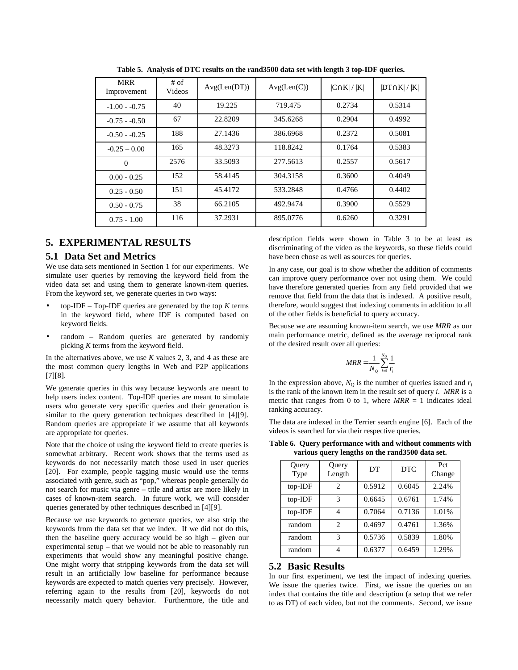| <b>MRR</b><br>Improvement | # of<br>Videos | Avg(Len(DT)) | Avg(Len(C)) | $ C \cap K  /  K $ | $ DT \cap K  /  K $ |
|---------------------------|----------------|--------------|-------------|--------------------|---------------------|
| $-1.00 - 0.75$            | 40             | 19.225       | 719.475     | 0.2734             | 0.5314              |
| $-0.75 - 0.50$            | 67             | 22.8209      | 345.6268    | 0.2904             | 0.4992              |
| $-0.50 - 0.25$            | 188            | 27.1436      | 386.6968    | 0.2372             | 0.5081              |
| $-0.25 - 0.00$            | 165            | 48.3273      | 118.8242    | 0.1764             | 0.5383              |
| $\mathbf{0}$              | 2576           | 33.5093      | 277.5613    | 0.2557             | 0.5617              |
| $0.00 - 0.25$             | 152            | 58.4145      | 304.3158    | 0.3600             | 0.4049              |
| $0.25 - 0.50$             | 151            | 45.4172      | 533.2848    | 0.4766             | 0.4402              |
| $0.50 - 0.75$             | 38             | 66.2105      | 492.9474    | 0.3900             | 0.5529              |
| $0.75 - 1.00$             | 116            | 37.2931      | 895.0776    | 0.6260             | 0.3291              |

**Table 5. Analysis of DTC results on the rand3500 data set with length 3 top-IDF queries.** 

## **5. EXPERIMENTAL RESULTS**

#### **5.1 Data Set and Metrics**

We use data sets mentioned in Section 1 for our experiments. We simulate user queries by removing the keyword field from the video data set and using them to generate known-item queries. From the keyword set, we generate queries in two ways:

- top-IDF Top-IDF queries are generated by the top  $K$  terms in the keyword field, where IDF is computed based on keyword fields.
- random Random queries are generated by randomly picking *K* terms from the keyword field.

In the alternatives above, we use *K* values 2, 3, and 4 as these are the most common query lengths in Web and P2P applications [7][8].

We generate queries in this way because keywords are meant to help users index content. Top-IDF queries are meant to simulate users who generate very specific queries and their generation is similar to the query generation techniques described in [4][9]. Random queries are appropriate if we assume that all keywords are appropriate for queries.

Note that the choice of using the keyword field to create queries is somewhat arbitrary. Recent work shows that the terms used as keywords do not necessarily match those used in user queries [20]. For example, people tagging music would use the terms associated with genre, such as "pop," whereas people generally do not search for music via genre – title and artist are more likely in cases of known-item search. In future work, we will consider queries generated by other techniques described in [4][9].

Because we use keywords to generate queries, we also strip the keywords from the data set that we index. If we did not do this, then the baseline query accuracy would be so high – given our experimental setup – that we would not be able to reasonably run experiments that would show any meaningful positive change. One might worry that stripping keywords from the data set will result in an artificially low baseline for performance because keywords are expected to match queries very precisely. However, referring again to the results from [20], keywords do not necessarily match query behavior. Furthermore, the title and

description fields were shown in Table 3 to be at least as discriminating of the video as the keywords, so these fields could have been chose as well as sources for queries.

In any case, our goal is to show whether the addition of comments can improve query performance over not using them. We could have therefore generated queries from any field provided that we remove that field from the data that is indexed. A positive result, therefore, would suggest that indexing comments in addition to all of the other fields is beneficial to query accuracy.

Because we are assuming known-item search, we use *MRR* as our main performance metric, defined as the average reciprocal rank of the desired result over all queries:

$$
MRR = \frac{1}{N_Q} \sum_{i=1}^{N_Q} \frac{1}{r_i}
$$

In the expression above,  $N<sub>Q</sub>$  is the number of queries issued and  $r<sub>i</sub>$ is the rank of the known item in the result set of query *i*. *MRR* is a metric that ranges from 0 to 1, where  $MRR = 1$  indicates ideal ranking accuracy.

The data are indexed in the Terrier search engine [6]. Each of the videos is searched for via their respective queries.

**Table 6. Query performance with and without comments with various query lengths on the rand3500 data set.** 

| Query<br>Type | Query<br>Length | DT     | <b>DTC</b> | Pct<br>Change |
|---------------|-----------------|--------|------------|---------------|
| top-IDF       | $\mathfrak{D}$  | 0.5912 | 0.6045     | 2.24%         |
| top-IDF       | 3               | 0.6645 | 0.6761     | 1.74%         |
| top-IDF       | 4               | 0.7064 | 0.7136     | 1.01%         |
| random        | $\mathfrak{D}$  | 0.4697 | 0.4761     | 1.36%         |
| random        | 3               | 0.5736 | 0.5839     | 1.80%         |
| random        | 4               | 0.6377 | 0.6459     | 1.29%         |

#### **5.2 Basic Results**

In our first experiment, we test the impact of indexing queries. We issue the queries twice. First, we issue the queries on an index that contains the title and description (a setup that we refer to as DT) of each video, but not the comments. Second, we issue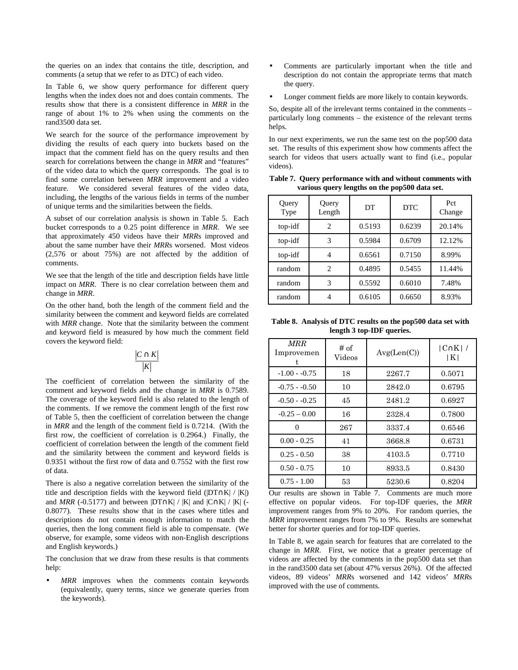the queries on an index that contains the title, description, and comments (a setup that we refer to as DTC) of each video.

In Table 6, we show query performance for different query lengths when the index does not and does contain comments. The results show that there is a consistent difference in *MRR* in the range of about 1% to 2% when using the comments on the rand3500 data set.

We search for the source of the performance improvement by dividing the results of each query into buckets based on the impact that the comment field has on the query results and then search for correlations between the change in *MRR* and "features" of the video data to which the query corresponds. The goal is to find some correlation between *MRR* improvement and a video feature. We considered several features of the video data, including, the lengths of the various fields in terms of the number of unique terms and the similarities between the fields.

A subset of our correlation analysis is shown in Table 5. Each bucket corresponds to a 0.25 point difference in *MRR*. We see that approximately 450 videos have their *MRR*s improved and about the same number have their *MRR*s worsened. Most videos (2,576 or about 75%) are not affected by the addition of comments.

We see that the length of the title and description fields have little impact on *MRR*. There is no clear correlation between them and change in *MRR*.

On the other hand, both the length of the comment field and the similarity between the comment and keyword fields are correlated with *MRR* change. Note that the similarity between the comment and keyword field is measured by how much the comment field covers the keyword field:

$$
\frac{|C \cap K|}{|K|}
$$

The coefficient of correlation between the similarity of the comment and keyword fields and the change in *MRR* is 0.7589. The coverage of the keyword field is also related to the length of the comments. If we remove the comment length of the first row of Table 5, then the coefficient of correlation between the change in *MRR* and the length of the comment field is 0.7214. (With the first row, the coefficient of correlation is 0.2964.) Finally, the coefficient of correlation between the length of the comment field and the similarity between the comment and keyword fields is 0.9351 without the first row of data and 0.7552 with the first row of data.

There is also a negative correlation between the similarity of the title and description fields with the keyword field (|DT∩K| / |K|) and *MRR* (-0.5177) and between |DT∩K| / |K| and |C∩K| / |K| (-0.8077). These results show that in the cases where titles and descriptions do not contain enough information to match the queries, then the long comment field is able to compensate. (We observe, for example, some videos with non-English descriptions and English keywords.)

The conclusion that we draw from these results is that comments help:

MRR improves when the comments contain keywords (equivalently, query terms, since we generate queries from the keywords).

- Comments are particularly important when the title and description do not contain the appropriate terms that match the query.
- Longer comment fields are more likely to contain keywords.

So, despite all of the irrelevant terms contained in the comments – particularly long comments – the existence of the relevant terms helps.

In our next experiments, we run the same test on the pop500 data set. The results of this experiment show how comments affect the search for videos that users actually want to find (i.e., popular videos).

**Table 7. Query performance with and without comments with various query lengths on the pop500 data set.** 

| Query<br>Type | Query<br>Length | DТ     | <b>DTC</b> | Pct<br>Change |
|---------------|-----------------|--------|------------|---------------|
| top-idf       | 2               | 0.5193 | 0.6239     | 20.14%        |
| top-idf       | 3               | 0.5984 | 0.6709     | 12.12%        |
| top-idf       | 4               | 0.6561 | 0.7150     | 8.99%         |
| random        | 2               | 0.4895 | 0.5455     | 11.44%        |
| random        | 3               | 0.5592 | 0.6010     | 7.48%         |
| random        |                 | 0.6105 | 0.6650     | 8.93%         |

**Table 8. Analysis of DTC results on the pop500 data set with length 3 top-IDF queries.** 

| <b>MRR</b><br>Improvemen<br>t. | # of<br>Videos | Avg(Len(C)) | $ C \cap K $ /<br>IKI |
|--------------------------------|----------------|-------------|-----------------------|
| $-1.00 - -0.75$                | 18             | 2267.7      | 0.5071                |
| $-0.75 - 0.50$                 | 10             | 2842.0      | 0.6795                |
| $-0.50 - 0.25$                 | 45             | 2481.2      | 0.6927                |
| $-0.25 - 0.00$                 | 16             | 2328.4      | 0.7800                |
| 0                              | 267            | 3337.4      | 0.6546                |
| $0.00 - 0.25$                  | 41             | 3668.8      | 0.6731                |
| $0.25 - 0.50$                  | 38             | 4103.5      | 0.7710                |
| $0.50 - 0.75$                  | 10             | 8933.5      | 0.8430                |
| $0.75 - 1.00$                  | 53             | 5230.6      | 0.8204                |

Our results are shown in Table 7. Comments are much more effective on popular videos. For top-IDF queries, the *MRR* improvement ranges from 9% to 20%. For random queries, the *MRR* improvement ranges from 7% to 9%. Results are somewhat better for shorter queries and for top-IDF queries.

In Table 8, we again search for features that are correlated to the change in *MRR*. First, we notice that a greater percentage of videos are affected by the comments in the pop500 data set than in the rand 3500 data set (about 47% versus  $26\%$ ). Of the affected videos, 89 videos' *MRR*s worsened and 142 videos' *MRR*s improved with the use of comments.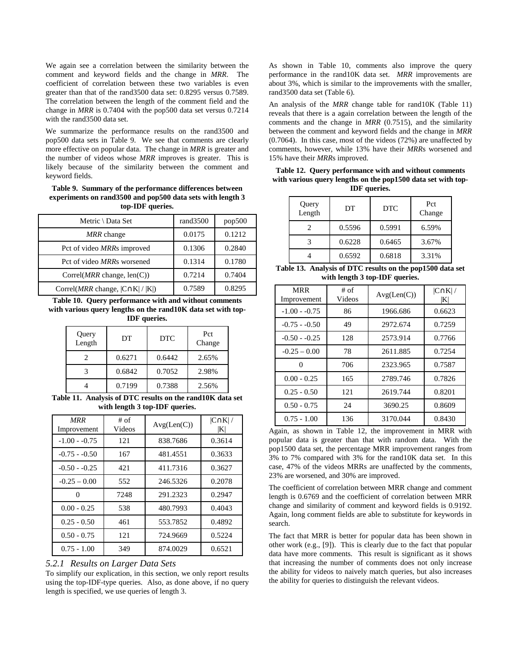We again see a correlation between the similarity between the comment and keyword fields and the change in *MRR*. The coefficient of correlation between these two variables is even greater than that of the rand3500 data set: 0.8295 versus 0.7589. The correlation between the length of the comment field and the change in *MRR* is 0.7404 with the pop500 data set versus 0.7214 with the rand3500 data set.

We summarize the performance results on the rand3500 and pop500 data sets in Table 9. We see that comments are clearly more effective on popular data. The change in *MRR* is greater and the number of videos whose *MRR* improves is greater. This is likely because of the similarity between the comment and keyword fields.

**Table 9. Summary of the performance differences between experiments on rand3500 and pop500 data sets with length 3 top-IDF queries.** 

| Metric \ Data Set                               | rand3500 | pop500 |
|-------------------------------------------------|----------|--------|
| MRR change                                      | 0.0175   | 0.1212 |
| Pct of video MRRs improved                      | 0.1306   | 0.2840 |
| Pct of video <i>MRRs</i> worsened               | 0.1314   | 0.1780 |
| Correl( $MRR$ change, len(C))                   | 0.7214   | 0.7404 |
| Correl( <i>MRR</i> change, $ C \cap K  /  K $ ) | 0.7589   | 0.8295 |

**Table 10. Query performance with and without comments with various query lengths on the rand10K data set with top-IDF queries.** 

| Query<br>Length | DT     | <b>DTC</b> | Pct<br>Change |
|-----------------|--------|------------|---------------|
|                 | 0.6271 | 0.6442     | 2.65%         |
|                 | 0.6842 | 0.7052     | 2.98%         |
|                 | 0.7199 | 0.7388     | 2.56%         |

**Table 11. Analysis of DTC results on the rand10K data set with length 3 top-IDF queries.** 

| <b>MRR</b><br>Improvement | $#$ of<br>Videos | Avg(Len(C)) | $ C \cap K $<br>$ {\bf K} $ |
|---------------------------|------------------|-------------|-----------------------------|
| $-1.00 - 0.75$            | 121              | 838.7686    | 0.3614                      |
| $-0.75 - 0.50$            | 167              | 481.4551    | 0.3633                      |
| $-0.50 - 0.25$            | 421              | 411.7316    | 0.3627                      |
| $-0.25 - 0.00$            | 552              | 246.5326    | 0.2078                      |
| 0                         | 7248             | 291.2323    | 0.2947                      |
| $0.00 - 0.25$             | 538              | 480.7993    | 0.4043                      |
| $0.25 - 0.50$             | 461              | 553.7852    | 0.4892                      |
| $0.50 - 0.75$             | 121              | 724.9669    | 0.5224                      |
| $0.75 - 1.00$             | 349              | 874.0029    | 0.6521                      |

#### *5.2.1 Results on Larger Data Sets*

To simplify our explication, in this section, we only report results using the top-IDF-type queries. Also, as done above, if no query length is specified, we use queries of length 3.

As shown in Table 10, comments also improve the query performance in the rand10K data set. *MRR* improvements are about 3%, which is similar to the improvements with the smaller, rand3500 data set (Table 6).

An analysis of the *MRR* change table for rand10K (Table 11) reveals that there is a again correlation between the length of the comments and the change in *MRR* (0.7515), and the similarity between the comment and keyword fields and the change in *MRR* (0.7064). In this case, most of the videos (72%) are unaffected by comments, however, while 13% have their *MRR*s worsened and 15% have their *MRR*s improved.

**Table 12. Query performance with and without comments with various query lengths on the pop1500 data set with top-IDF queries.** 

| Query<br>Length | DT     | <b>DTC</b> | Pct<br>Change |
|-----------------|--------|------------|---------------|
|                 | 0.5596 | 0.5991     | 6.59%         |
|                 | 0.6228 | 0.6465     | 3.67%         |
|                 | 0.6592 | 0.6818     | 3.31%         |

| Table 13. Analysis of DTC results on the pop1500 data set |
|-----------------------------------------------------------|
| with length 3 top-IDF queries.                            |

| <b>MRR</b><br>Improvement | $#$ of<br>Videos | Avg(Len(C)) | $ C \cap K $<br>ΙKΙ |
|---------------------------|------------------|-------------|---------------------|
| $-1.00 - 0.75$            | 86               | 1966.686    | 0.6623              |
| $-0.75 - 0.50$            | 49               | 2972.674    | 0.7259              |
| $-0.50 - 0.25$            | 128              | 2573.914    | 0.7766              |
| $-0.25 - 0.00$            | 78               | 2611.885    | 0.7254              |
| 0                         | 706              | 2323.965    | 0.7587              |
| $0.00 - 0.25$             | 165              | 2789.746    | 0.7826              |
| $0.25 - 0.50$             | 121              | 2619.744    | 0.8201              |
| $0.50 - 0.75$             | 24               | 3690.25     | 0.8609              |
| $0.75 - 1.00$             | 136              | 3170.044    | 0.8430              |

Again, as shown in Table 12, the improvement in MRR with popular data is greater than that with random data. With the pop1500 data set, the percentage MRR improvement ranges from 3% to 7% compared with 3% for the rand10K data set. In this case, 47% of the videos MRRs are unaffected by the comments, 23% are worsened, and 30% are improved.

The coefficient of correlation between MRR change and comment length is 0.6769 and the coefficient of correlation between MRR change and similarity of comment and keyword fields is 0.9192. Again, long comment fields are able to substitute for keywords in search.

The fact that MRR is better for popular data has been shown in other work (e.g., [9]). This is clearly due to the fact that popular data have more comments. This result is significant as it shows that increasing the number of comments does not only increase the ability for videos to naively match queries, but also increases the ability for queries to distinguish the relevant videos.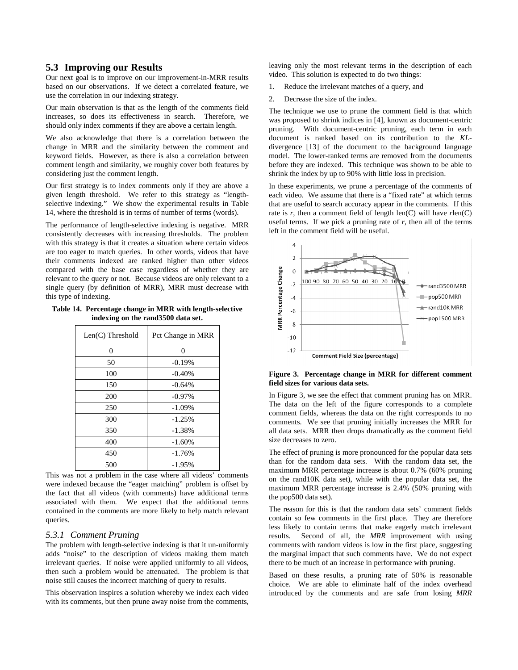#### **5.3 Improving our Results**

Our next goal is to improve on our improvement-in-MRR results based on our observations. If we detect a correlated feature, we use the correlation in our indexing strategy.

Our main observation is that as the length of the comments field increases, so does its effectiveness in search. Therefore, we should only index comments if they are above a certain length.

We also acknowledge that there is a correlation between the change in MRR and the similarity between the comment and keyword fields. However, as there is also a correlation between comment length and similarity, we roughly cover both features by considering just the comment length.

Our first strategy is to index comments only if they are above a given length threshold. We refer to this strategy as "lengthselective indexing." We show the experimental results in Table 14, where the threshold is in terms of number of terms (words).

The performance of length-selective indexing is negative. MRR consistently decreases with increasing thresholds. The problem with this strategy is that it creates a situation where certain videos are too eager to match queries. In other words, videos that have their comments indexed are ranked higher than other videos compared with the base case regardless of whether they are relevant to the query or not. Because videos are only relevant to a single query (by definition of MRR), MRR must decrease with this type of indexing.

**Table 14. Percentage change in MRR with length-selective indexing on the rand3500 data set.** 

| Len(C) Threshold | Pct Change in MRR |
|------------------|-------------------|
| 0                | 0                 |
| 50               | $-0.19%$          |
| 100              | $-0.40%$          |
| 150              | $-0.64%$          |
| 200              | $-0.97%$          |
| 250              | $-1.09%$          |
| 300              | $-1.25%$          |
| 350              | $-1.38%$          |
| 400              | $-1.60%$          |
| 450              | $-1.76%$          |
| 500              | $-1.95%$          |

This was not a problem in the case where all videos' comments were indexed because the "eager matching" problem is offset by the fact that all videos (with comments) have additional terms associated with them. We expect that the additional terms contained in the comments are more likely to help match relevant queries.

#### *5.3.1 Comment Pruning*

The problem with length-selective indexing is that it un-uniformly adds "noise" to the description of videos making them match irrelevant queries. If noise were applied uniformly to all videos, then such a problem would be attenuated. The problem is that noise still causes the incorrect matching of query to results.

This observation inspires a solution whereby we index each video with its comments, but then prune away noise from the comments, leaving only the most relevant terms in the description of each video. This solution is expected to do two things:

- 1. Reduce the irrelevant matches of a query, and
- 2. Decrease the size of the index.

The technique we use to prune the comment field is that which was proposed to shrink indices in [4], known as document-centric pruning. With document-centric pruning, each term in each document is ranked based on its contribution to the *KL*divergence [13] of the document to the background language model. The lower-ranked terms are removed from the documents before they are indexed. This technique was shown to be able to shrink the index by up to 90% with little loss in precision.

In these experiments, we prune a percentage of the comments of each video. We assume that there is a "fixed rate" at which terms that are useful to search accuracy appear in the comments. If this rate is *r*, then a comment field of length len(C) will have *r*len(C) useful terms. If we pick a pruning rate of  $r$ , then all of the terms left in the comment field will be useful.



**Figure 3. Percentage change in MRR for different comment field sizes for various data sets.** 

In Figure 3, we see the effect that comment pruning has on MRR. The data on the left of the figure corresponds to a complete comment fields, whereas the data on the right corresponds to no comments. We see that pruning initially increases the MRR for all data sets. MRR then drops dramatically as the comment field size decreases to zero.

The effect of pruning is more pronounced for the popular data sets than for the random data sets. With the random data set, the maximum MRR percentage increase is about 0.7% (60% pruning on the rand10K data set), while with the popular data set, the maximum MRR percentage increase is 2.4% (50% pruning with the pop500 data set).

The reason for this is that the random data sets' comment fields contain so few comments in the first place. They are therefore less likely to contain terms that make eagerly match irrelevant results. Second of all, the *MRR* improvement with using comments with random videos is low in the first place, suggesting the marginal impact that such comments have. We do not expect there to be much of an increase in performance with pruning.

Based on these results, a pruning rate of 50% is reasonable choice. We are able to eliminate half of the index overhead introduced by the comments and are safe from losing *MRR*